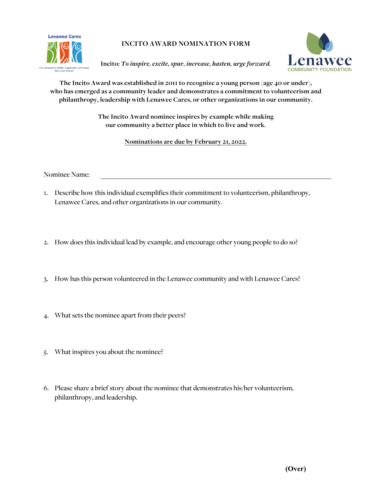

**INCITO AWARD NOMINATION FORM**

**Incito:** *To inspire, excite, spur, increase, hasten, urge forward.*



**The Incito Award was established in 2011 to recognize a young person (age 40 or under), who has emerged as a community leader and demonstrates a commitment to volunteerism and philanthropy, leadership with Lenawee Cares, or other organizations in our community.**

> **The Incito Award nominee inspires by example while making our community a better place in which to live and work.**

> > **Nominations are due by February 21, 2022.**

Nominee Name:

- 1. Describe how this individual exemplifies their commitment to volunteerism, philanthropy, Lenawee Cares, and other organizations in our community.
- 2. How doesthis individual lead by example, and encourage other young people to do so?
- 3. How has this person volunteered in the Lenawee community and with Lenawee Cares?
- 4. What sets the nominee apart from their peers?
- 5. What inspires you about the nominee?
- 6. Please share a brief story about the nominee that demonstrates his/her volunteerism, philanthropy, and leadership.